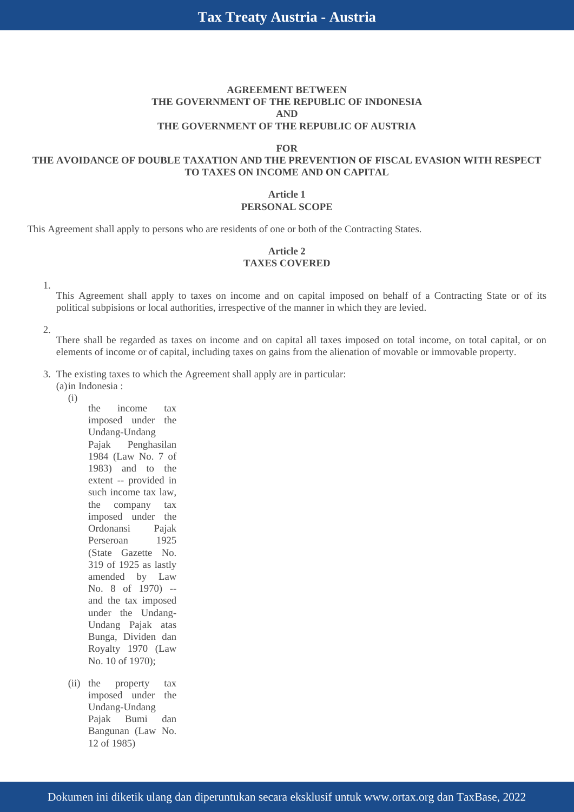#### **AGREEMENT BETWEEN THE GOVERNMENT OF THE REPUBLIC OF INDONESIA AND THE GOVERNMENT OF THE REPUBLIC OF AUSTRIA**

#### **FOR**

## **THE AVOIDANCE OF DOUBLE TAXATION AND THE PREVENTION OF FISCAL EVASION WITH RESPECT TO TAXES ON INCOME AND ON CAPITAL**

#### **Article 1 PERSONAL SCOPE**

This Agreement shall apply to persons who are residents of one or both of the Contracting States.

#### **Article 2 TAXES COVERED**

1.

This Agreement shall apply to taxes on income and on capital imposed on behalf of a Contracting State or of its political subpisions or local authorities, irrespective of the manner in which they are levied.

2.

There shall be regarded as taxes on income and on capital all taxes imposed on total income, on total capital, or on elements of income or of capital, including taxes on gains from the alienation of movable or immovable property.

3. The existing taxes to which the Agreement shall apply are in particular:

(a)in Indonesia :

(i)

the income tax imposed under the Undang-Undang Pajak Penghasilan 1984 (Law No. 7 of 1983) and to the extent -- provided in such income tax law, the company tax imposed under the Ordonansi Pajak Perseroan 1925 (State Gazette No. 319 of 1925 as lastly amended by Law No. 8 of 1970) - and the tax imposed under the Undang-Undang Pajak atas Bunga, Dividen dan Royalty 1970 (Law No. 10 of 1970);

(ii) the property tax imposed under the Undang-Undang Pajak Bumi dan Bangunan (Law No. 12 of 1985)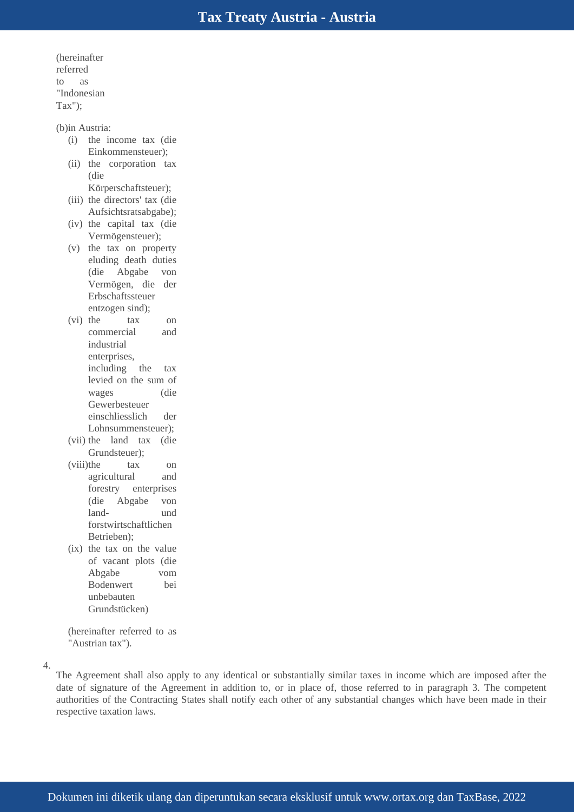(hereinafter referred to as "Indonesian Tax");

(b)in Austria:

- (i) the income tax (die Einkommensteuer);
- (ii) the corporation tax (die Körperschaftsteuer);
- (iii) the directors' tax (die Aufsichtsratsabgabe);
- (iv) the capital tax (die Vermögensteuer);
- (v) the tax on property eluding death duties (die Abgabe von Vermögen, die der Erbschaftssteuer entzogen sind);
- (vi) the tax on commercial and industrial enterprises, including the tax levied on the sum of wages (die Gewerbesteuer einschliesslich der Lohnsummensteuer);
- (vii) the land tax (die Grundsteuer);
- (viii)the tax on agricultural and forestry enterprises (die Abgabe von land- und forstwirtschaftlichen Betrieben);
- (ix) the tax on the value of vacant plots (die Abgabe vom Bodenwert bei unbebauten Grundstücken)

(hereinafter referred to as "Austrian tax").

4.

The Agreement shall also apply to any identical or substantially similar taxes in income which are imposed after the date of signature of the Agreement in addition to, or in place of, those referred to in paragraph 3. The competent authorities of the Contracting States shall notify each other of any substantial changes which have been made in their respective taxation laws.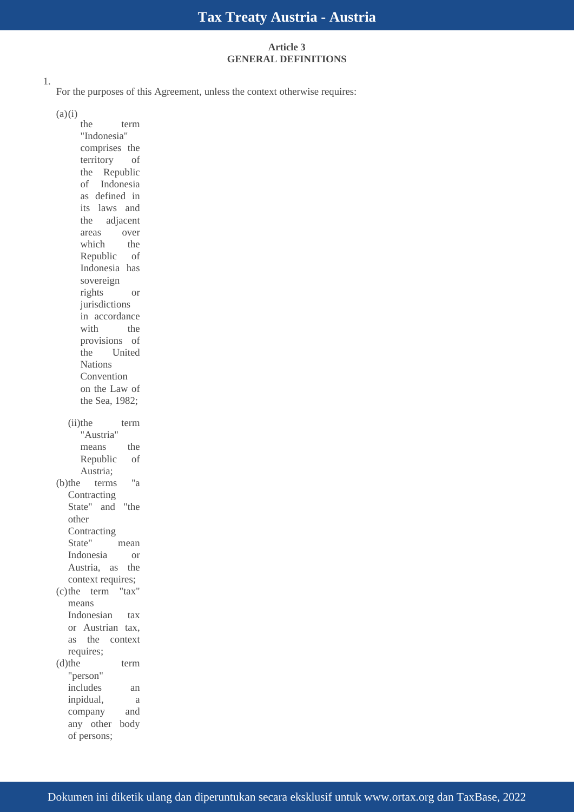### **Article 3 GENERAL DEFINITIONS**

1.

For the purposes of this Agreement, unless the context otherwise requires:

 $(a)(i)$ 

the term "Indonesia" comprises the territory of the Republic of Indonesia as defined in its laws and the adjacent areas over which the Republic of Indonesia has sovereign rights or jurisdictions in accordance with the provisions of the United Nations Convention on the Law of the Sea, 1982; (ii)the term "Austria" means the Republic of Austria; (b)the terms "a Contracting State" and "the other Contracting State" mean Indonesia or Austria, as the context requires; (c)the term "tax" means Indonesian tax or Austrian tax, as the context requires; (d)the term "person" includes an inpidual, a company and any other body of persons;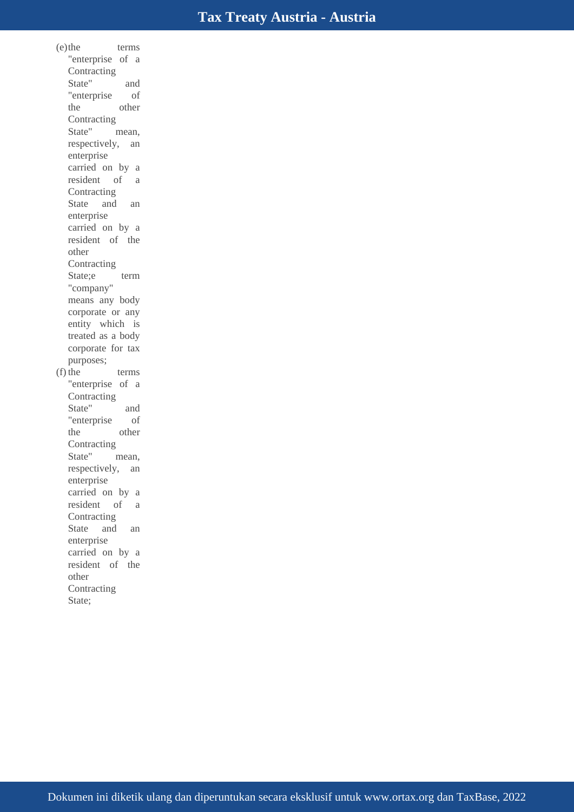"enterprise of a Contracting State" and "enterprise of the other Contracting State" mean, respectively, an enterprise carried on by a resident of a Contracting State and an enterprise carried on by a resident of the other Contracting State;e term "company" means any body corporate or any entity which is treated as a body corporate for tax purposes; (f) the terms "enterprise of a Contracting State" and "enterprise of the other Contracting State" mean, respectively, an enterprise carried on by a resident of a Contracting State and an enterprise carried on by a resident of the other Contracting State;

(e)the terms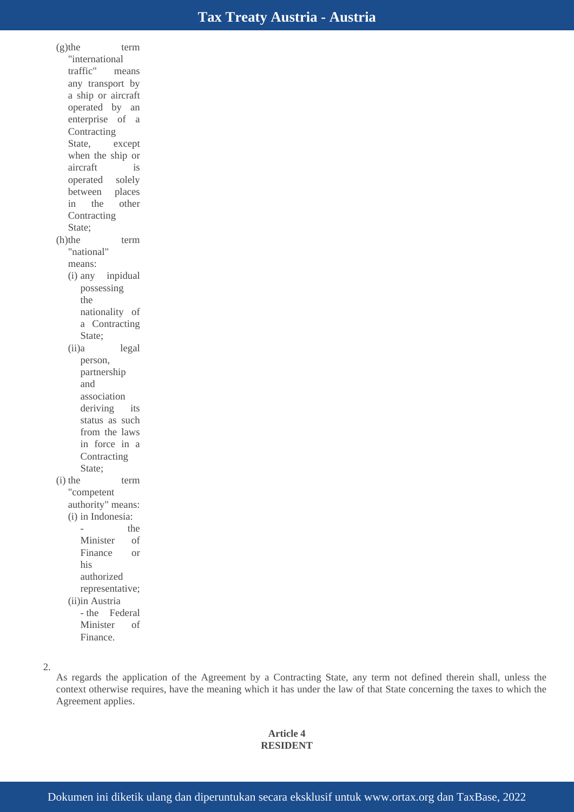"international traffic" means any transport by a ship or aircraft operated by an enterprise of a Contracting State, except when the ship or aircraft is operated solely between places in the other Contracting State; (h)the term "national" means: (i) any inpidual possessing the nationality of a Contracting State; (ii)a legal person, partnership and association deriving its status as such from the laws in force in a Contracting State; (i) the term "competent authority" means: (i) in Indonesia: - the Minister of Finance or his authorized representative; (ii)in Austria - the Federal

> Minister of Finance.

(g)the term

2.

As regards the application of the Agreement by a Contracting State, any term not defined therein shall, unless the context otherwise requires, have the meaning which it has under the law of that State concerning the taxes to which the Agreement applies.

### **Article 4 RESIDENT**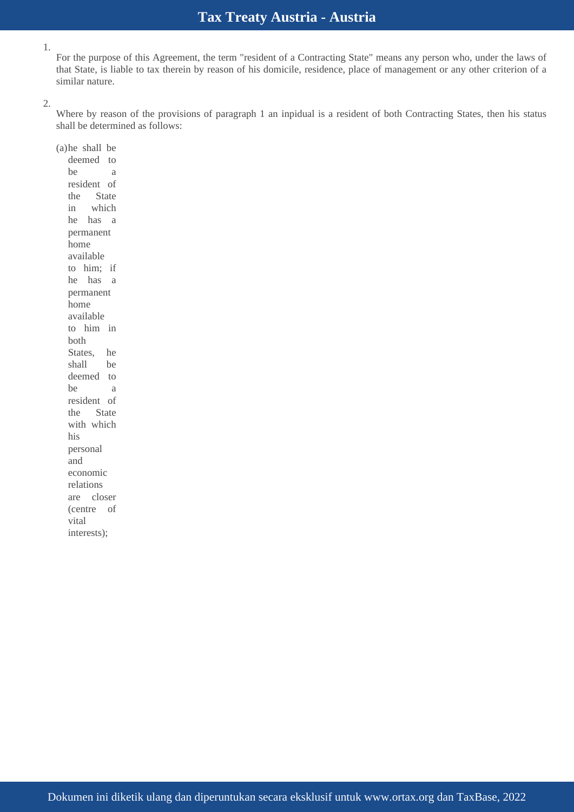For the purpose of this Agreement, the term "resident of a Contracting State" means any person who, under the laws of that State, is liable to tax therein by reason of his domicile, residence, place of management or any other criterion of a similar nature.

2.

1.

Where by reason of the provisions of paragraph 1 an inpidual is a resident of both Contracting States, then his status shall be determined as follows:

(a)he shall be deemed to be a resident of the State in which he has a permanent home available to him; if he has a permanent home available to him in both States, he shall be deemed to be a resident of the State with which his personal and economic relations are closer (centre of vital interests);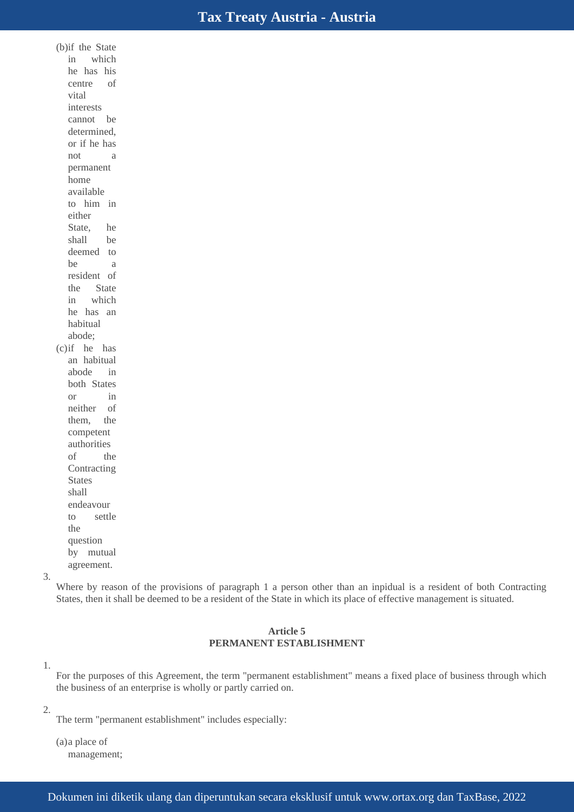(b)if the State in which he has his centre of vital interests cannot be determined, or if he has not a permanent home available to him in either State, he shall be deemed to be a resident of the State in which he has an habitual abode; (c)if he has an habitual abode in both States or in neither of them, the competent authorities of the Contracting States shall endeavour to settle the question by mutual agreement.

3.

Where by reason of the provisions of paragraph 1 a person other than an inpidual is a resident of both Contracting States, then it shall be deemed to be a resident of the State in which its place of effective management is situated.

#### **Article 5 PERMANENT ESTABLISHMENT**

1.

For the purposes of this Agreement, the term "permanent establishment" means a fixed place of business through which the business of an enterprise is wholly or partly carried on.

2.

The term "permanent establishment" includes especially:

(a)a place of management;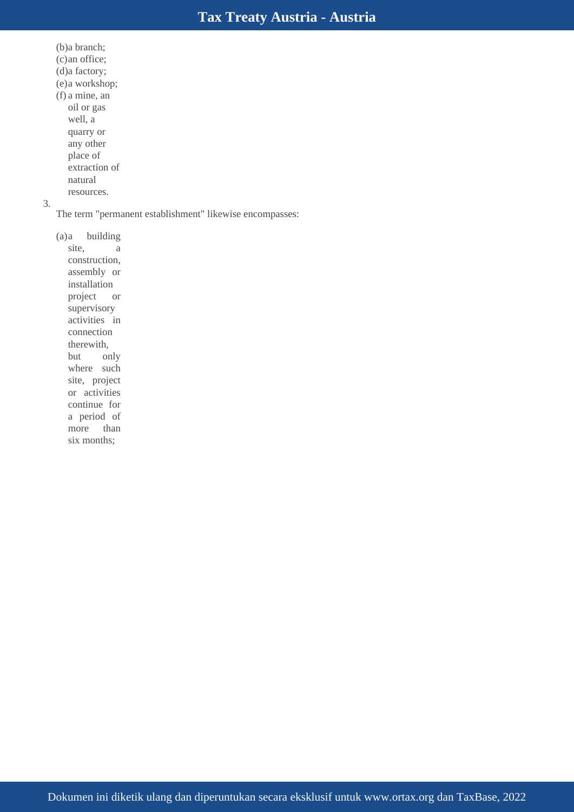(b)a branch; (c)an office; (d)a factory; (e)a workshop; (f) a mine, an oil or gas well, a quarry or any other place of extraction of natural resources.

3.

The term "permanent establishment" likewise encompasses:

(a)a building site, a construction, assembly or installation project or supervisory activities in connection therewith, but only where such site, project or activities continue for a period of more than six months;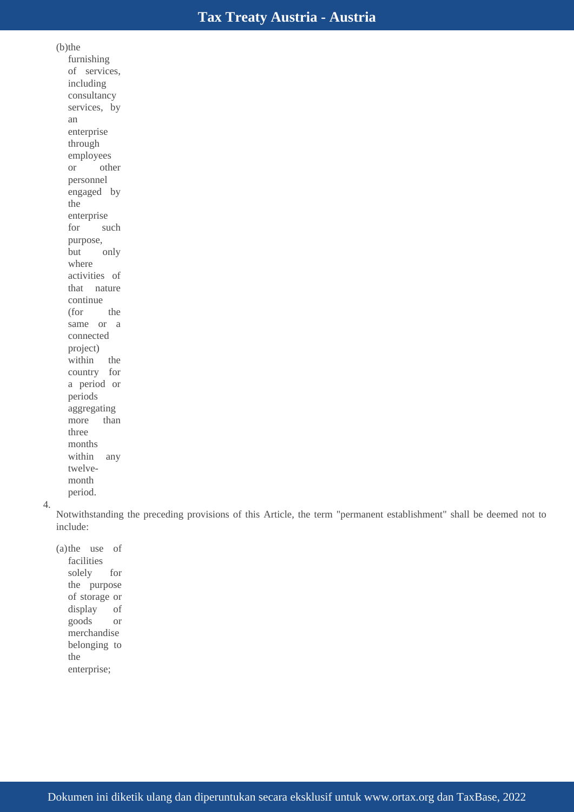(b)the furnishing of services, including consultancy services, by an enterprise through employees or other personnel engaged by the enterprise for such purpose, but only where activities of that nature continue (for the same or a connected project) within the country for a period or periods aggregating more than three months within any twelvemonth period.

4.

Notwithstanding the preceding provisions of this Article, the term "permanent establishment" shall be deemed not to include:

(a)the use of facilities solely for the purpose of storage or display of goods or merchandise belonging to the enterprise;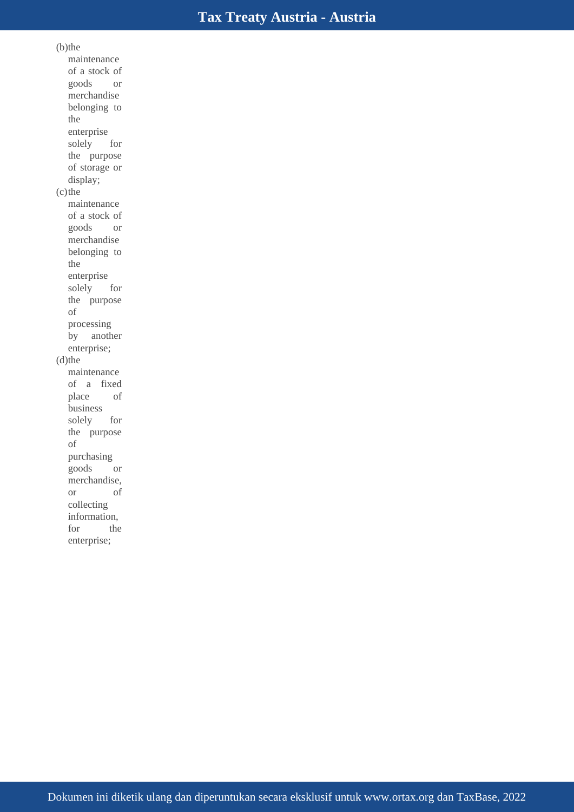maintenance of a stock of goods or merchandise belonging to the enterprise solely for the purpose of storage or display; (c)the maintenance of a stock of goods or merchandise belonging to the enterprise solely for the purpose of processing by another enterprise; (d)the maintenance of a fixed place of business solely for the purpose of purchasing goods or merchandise, or of collecting information, for the enterprise;

(b)the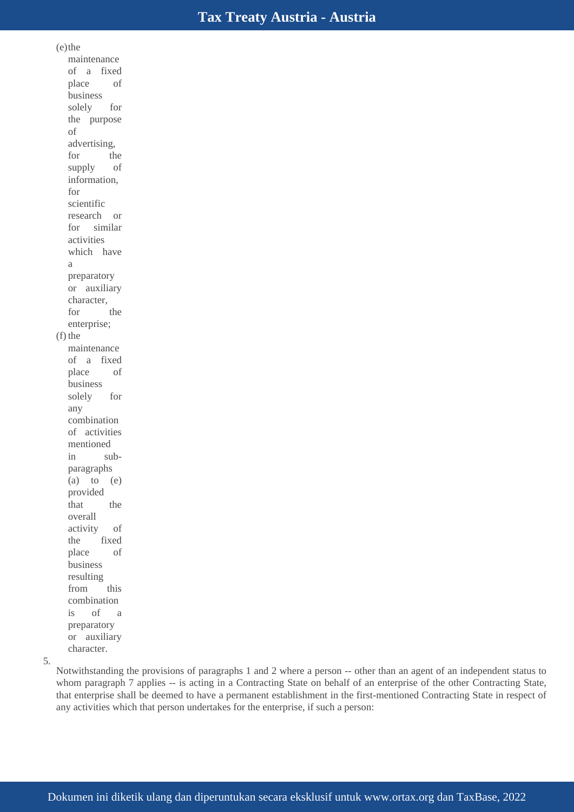(e)the maintenance of a fixed place of business solely for the purpose of advertising, for the supply of information, for scientific research or for similar activities which have a preparatory or auxiliary character, for the enterprise; (f) the maintenance of a fixed place of business solely for any combination of activities mentioned in subparagraphs  $(a)$  to  $(e)$ provided that the overall activity of the fixed place of business resulting from this combination is of a preparatory or auxiliary character.

5.

Notwithstanding the provisions of paragraphs 1 and 2 where a person -- other than an agent of an independent status to whom paragraph 7 applies -- is acting in a Contracting State on behalf of an enterprise of the other Contracting State, that enterprise shall be deemed to have a permanent establishment in the first-mentioned Contracting State in respect of any activities which that person undertakes for the enterprise, if such a person: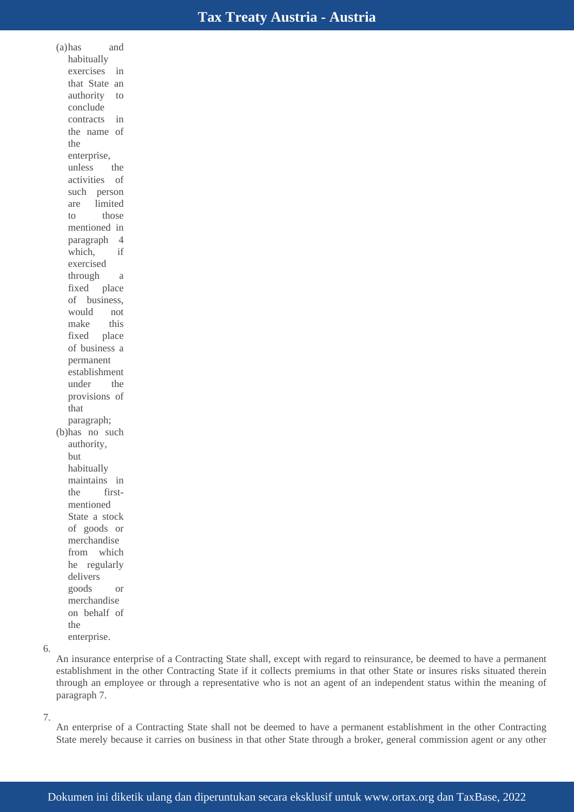(a)has and habitually exercises in that State an authority to conclude contracts in the name of the enterprise, unless the activities of such person are limited to those mentioned in paragraph 4 which, if exercised through a fixed place of business, would not make this fixed place of business a permanent establishment under the provisions of that paragraph; (b)has no such authority, but habitually maintains in the firstmentioned State a stock of goods or merchandise from which he regularly delivers goods or merchandise on behalf of the enterprise.

6.

An insurance enterprise of a Contracting State shall, except with regard to reinsurance, be deemed to have a permanent establishment in the other Contracting State if it collects premiums in that other State or insures risks situated therein through an employee or through a representative who is not an agent of an independent status within the meaning of paragraph 7.

7.

An enterprise of a Contracting State shall not be deemed to have a permanent establishment in the other Contracting State merely because it carries on business in that other State through a broker, general commission agent or any other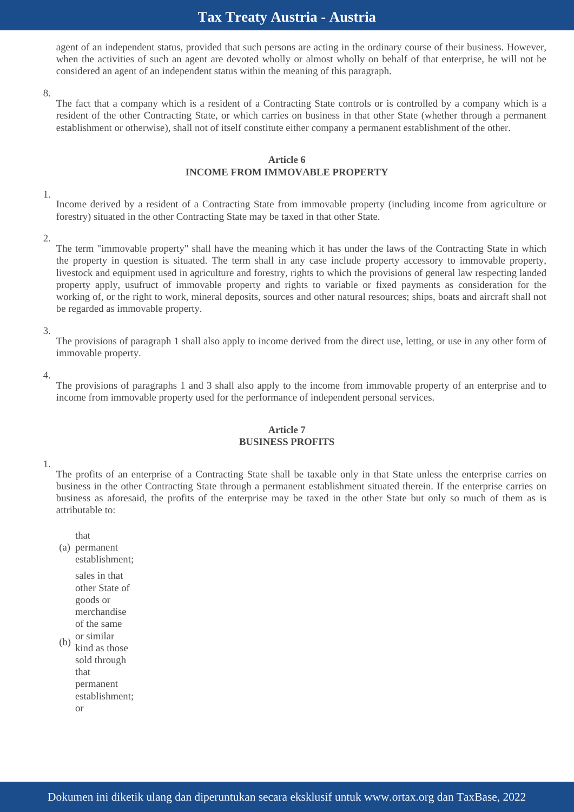agent of an independent status, provided that such persons are acting in the ordinary course of their business. However, when the activities of such an agent are devoted wholly or almost wholly on behalf of that enterprise, he will not be considered an agent of an independent status within the meaning of this paragraph.

8.

The fact that a company which is a resident of a Contracting State controls or is controlled by a company which is a resident of the other Contracting State, or which carries on business in that other State (whether through a permanent establishment or otherwise), shall not of itself constitute either company a permanent establishment of the other.

#### **Article 6 INCOME FROM IMMOVABLE PROPERTY**

1.

Income derived by a resident of a Contracting State from immovable property (including income from agriculture or forestry) situated in the other Contracting State may be taxed in that other State.

2.

The term "immovable property" shall have the meaning which it has under the laws of the Contracting State in which the property in question is situated. The term shall in any case include property accessory to immovable property, livestock and equipment used in agriculture and forestry, rights to which the provisions of general law respecting landed property apply, usufruct of immovable property and rights to variable or fixed payments as consideration for the working of, or the right to work, mineral deposits, sources and other natural resources; ships, boats and aircraft shall not be regarded as immovable property.

#### 3.

The provisions of paragraph 1 shall also apply to income derived from the direct use, letting, or use in any other form of immovable property.

#### 4.

The provisions of paragraphs 1 and 3 shall also apply to the income from immovable property of an enterprise and to income from immovable property used for the performance of independent personal services.

#### **Article 7 BUSINESS PROFITS**

1.

The profits of an enterprise of a Contracting State shall be taxable only in that State unless the enterprise carries on business in the other Contracting State through a permanent establishment situated therein. If the enterprise carries on business as aforesaid, the profits of the enterprise may be taxed in the other State but only so much of them as is attributable to:

that

- (a) permanent establishment; (b) sales in that other State of goods or merchandise of the same or similar kind as those sold through that
	- permanent establishment; or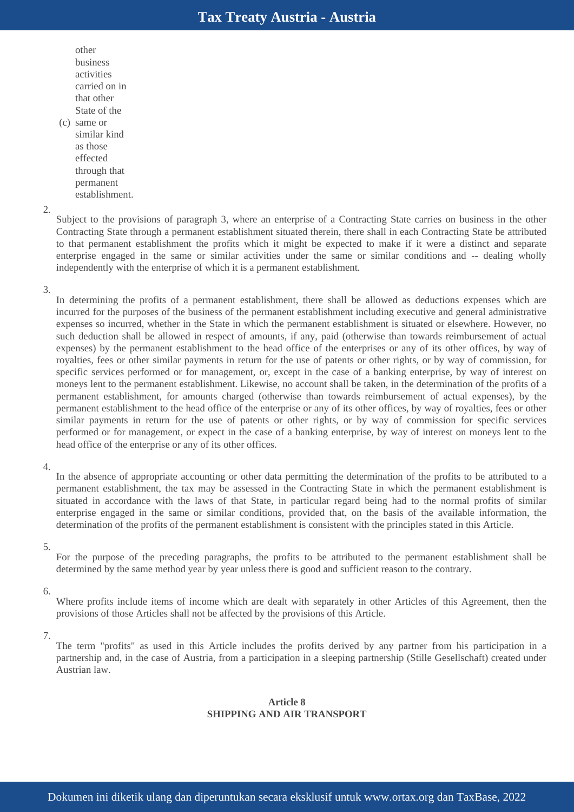other business activities carried on in that other State of the

(c) same or similar kind as those effected through that permanent establishment.

2.

Subject to the provisions of paragraph 3, where an enterprise of a Contracting State carries on business in the other Contracting State through a permanent establishment situated therein, there shall in each Contracting State be attributed to that permanent establishment the profits which it might be expected to make if it were a distinct and separate enterprise engaged in the same or similar activities under the same or similar conditions and -- dealing wholly independently with the enterprise of which it is a permanent establishment.

3.

In determining the profits of a permanent establishment, there shall be allowed as deductions expenses which are incurred for the purposes of the business of the permanent establishment including executive and general administrative expenses so incurred, whether in the State in which the permanent establishment is situated or elsewhere. However, no such deduction shall be allowed in respect of amounts, if any, paid (otherwise than towards reimbursement of actual expenses) by the permanent establishment to the head office of the enterprises or any of its other offices, by way of royalties, fees or other similar payments in return for the use of patents or other rights, or by way of commission, for specific services performed or for management, or, except in the case of a banking enterprise, by way of interest on moneys lent to the permanent establishment. Likewise, no account shall be taken, in the determination of the profits of a permanent establishment, for amounts charged (otherwise than towards reimbursement of actual expenses), by the permanent establishment to the head office of the enterprise or any of its other offices, by way of royalties, fees or other similar payments in return for the use of patents or other rights, or by way of commission for specific services performed or for management, or expect in the case of a banking enterprise, by way of interest on moneys lent to the head office of the enterprise or any of its other offices.

4.

In the absence of appropriate accounting or other data permitting the determination of the profits to be attributed to a permanent establishment, the tax may be assessed in the Contracting State in which the permanent establishment is situated in accordance with the laws of that State, in particular regard being had to the normal profits of similar enterprise engaged in the same or similar conditions, provided that, on the basis of the available information, the determination of the profits of the permanent establishment is consistent with the principles stated in this Article.

5.

For the purpose of the preceding paragraphs, the profits to be attributed to the permanent establishment shall be determined by the same method year by year unless there is good and sufficient reason to the contrary.

6.

Where profits include items of income which are dealt with separately in other Articles of this Agreement, then the provisions of those Articles shall not be affected by the provisions of this Article.

7.

The term "profits" as used in this Article includes the profits derived by any partner from his participation in a partnership and, in the case of Austria, from a participation in a sleeping partnership (Stille Gesellschaft) created under Austrian law.

#### **Article 8 SHIPPING AND AIR TRANSPORT**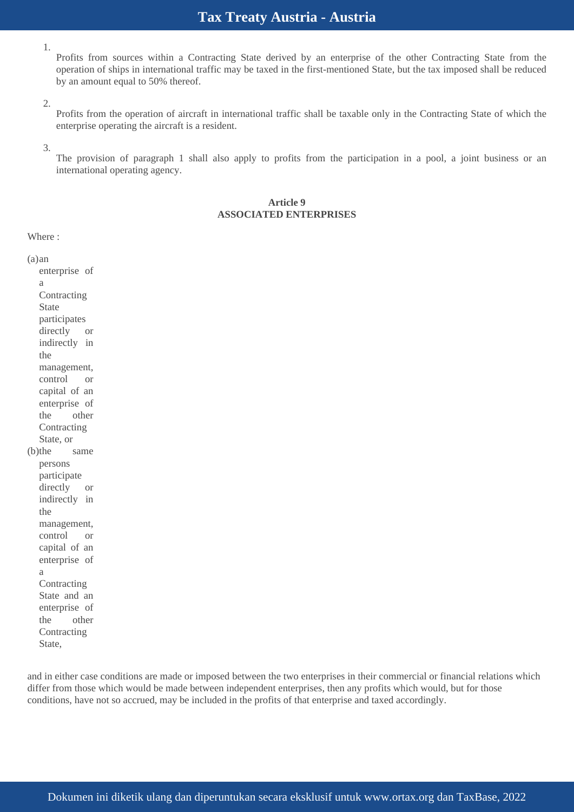1.

Profits from sources within a Contracting State derived by an enterprise of the other Contracting State from the operation of ships in international traffic may be taxed in the first-mentioned State, but the tax imposed shall be reduced by an amount equal to 50% thereof.

2.

Profits from the operation of aircraft in international traffic shall be taxable only in the Contracting State of which the enterprise operating the aircraft is a resident.

3.

The provision of paragraph 1 shall also apply to profits from the participation in a pool, a joint business or an international operating agency.

#### **Article 9 ASSOCIATED ENTERPRISES**

Where :

(a)an enterprise of a Contracting State participates directly or indirectly in the management, control or capital of an enterprise of the other Contracting State, or (b)the same persons participate directly or indirectly in the management, control or capital of an enterprise of a Contracting State and an enterprise of the other Contracting State,

and in either case conditions are made or imposed between the two enterprises in their commercial or financial relations which differ from those which would be made between independent enterprises, then any profits which would, but for those conditions, have not so accrued, may be included in the profits of that enterprise and taxed accordingly.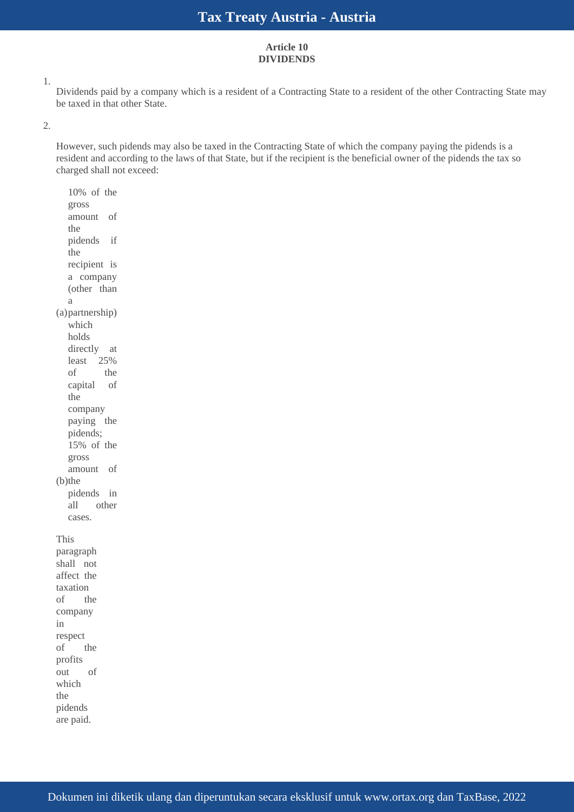#### **Article 10 DIVIDENDS**

1.

Dividends paid by a company which is a resident of a Contracting State to a resident of the other Contracting State may be taxed in that other State.

2.

However, such pidends may also be taxed in the Contracting State of which the company paying the pidends is a resident and according to the laws of that State, but if the recipient is the beneficial owner of the pidends the tax so charged shall not exceed:

(a) partnership) 10% of the gross amount of the pidends if the recipient is a company (other than a which holds directly at least 25% of the capital of the company paying the pidends; (b) the 15% of the gross amount of pidends in all other cases. This paragraph shall not affect the taxation of the company in respect of the profits out of which the pidends are paid.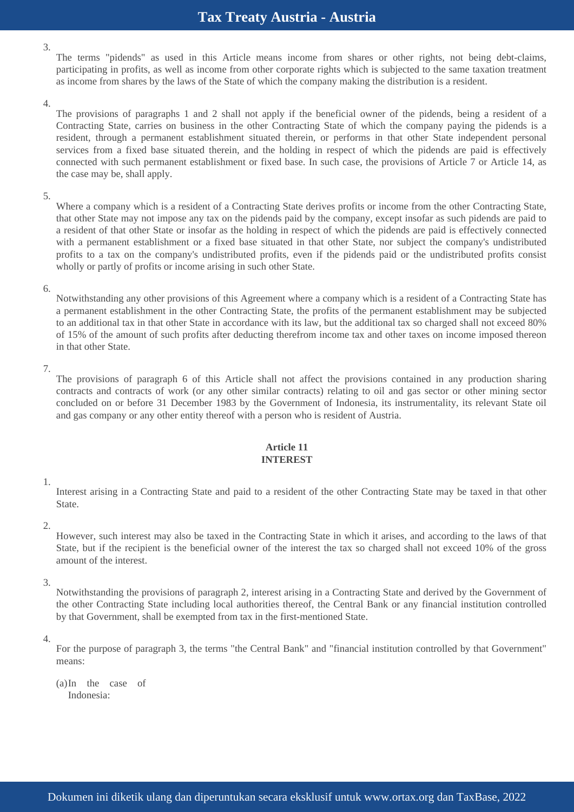The terms "pidends" as used in this Article means income from shares or other rights, not being debt-claims, participating in profits, as well as income from other corporate rights which is subjected to the same taxation treatment as income from shares by the laws of the State of which the company making the distribution is a resident.

4.

3.

The provisions of paragraphs 1 and 2 shall not apply if the beneficial owner of the pidends, being a resident of a Contracting State, carries on business in the other Contracting State of which the company paying the pidends is a resident, through a permanent establishment situated therein, or performs in that other State independent personal services from a fixed base situated therein, and the holding in respect of which the pidends are paid is effectively connected with such permanent establishment or fixed base. In such case, the provisions of Article 7 or Article 14, as the case may be, shall apply.

5.

Where a company which is a resident of a Contracting State derives profits or income from the other Contracting State, that other State may not impose any tax on the pidends paid by the company, except insofar as such pidends are paid to a resident of that other State or insofar as the holding in respect of which the pidends are paid is effectively connected with a permanent establishment or a fixed base situated in that other State, nor subject the company's undistributed profits to a tax on the company's undistributed profits, even if the pidends paid or the undistributed profits consist wholly or partly of profits or income arising in such other State.

#### 6.

Notwithstanding any other provisions of this Agreement where a company which is a resident of a Contracting State has a permanent establishment in the other Contracting State, the profits of the permanent establishment may be subjected to an additional tax in that other State in accordance with its law, but the additional tax so charged shall not exceed 80% of 15% of the amount of such profits after deducting therefrom income tax and other taxes on income imposed thereon in that other State.

7.

The provisions of paragraph 6 of this Article shall not affect the provisions contained in any production sharing contracts and contracts of work (or any other similar contracts) relating to oil and gas sector or other mining sector concluded on or before 31 December 1983 by the Government of Indonesia, its instrumentality, its relevant State oil and gas company or any other entity thereof with a person who is resident of Austria.

## **Article 11 INTEREST**

1.

Interest arising in a Contracting State and paid to a resident of the other Contracting State may be taxed in that other State.

#### 2.

However, such interest may also be taxed in the Contracting State in which it arises, and according to the laws of that State, but if the recipient is the beneficial owner of the interest the tax so charged shall not exceed 10% of the gross amount of the interest.

#### 3.

Notwithstanding the provisions of paragraph 2, interest arising in a Contracting State and derived by the Government of the other Contracting State including local authorities thereof, the Central Bank or any financial institution controlled by that Government, shall be exempted from tax in the first-mentioned State.

4.

For the purpose of paragraph 3, the terms "the Central Bank" and "financial institution controlled by that Government" means:

(a)In the case of Indonesia: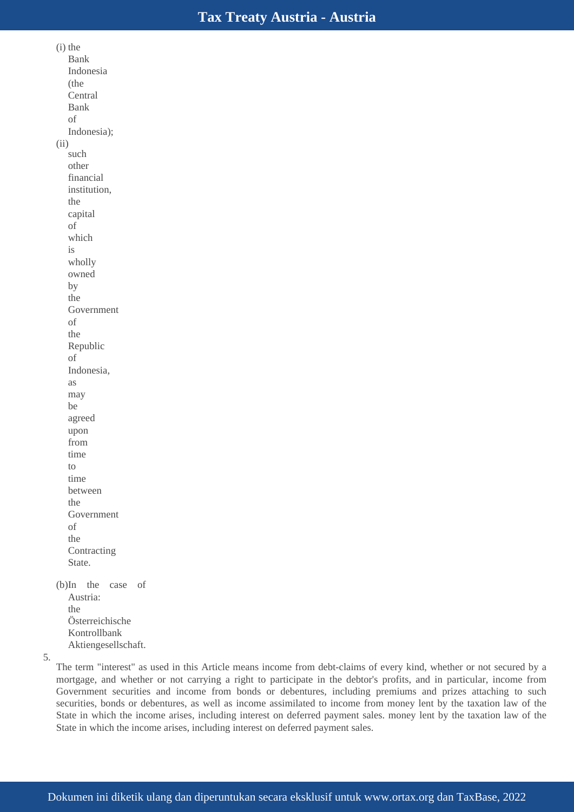(i) the Bank Indonesia (the Central Bank of Indonesia); (ii) such other financial institution, the capital of which is wholly owned by the Government of the Republic of Indonesia, as may be agreed upon from time to time between the Government of the Contracting State. (b)In the case of Austria: the Österreichische

5.

Kontrollbank Aktiengesellschaft.

The term "interest" as used in this Article means income from debt-claims of every kind, whether or not secured by a mortgage, and whether or not carrying a right to participate in the debtor's profits, and in particular, income from Government securities and income from bonds or debentures, including premiums and prizes attaching to such securities, bonds or debentures, as well as income assimilated to income from money lent by the taxation law of the State in which the income arises, including interest on deferred payment sales. money lent by the taxation law of the State in which the income arises, including interest on deferred payment sales.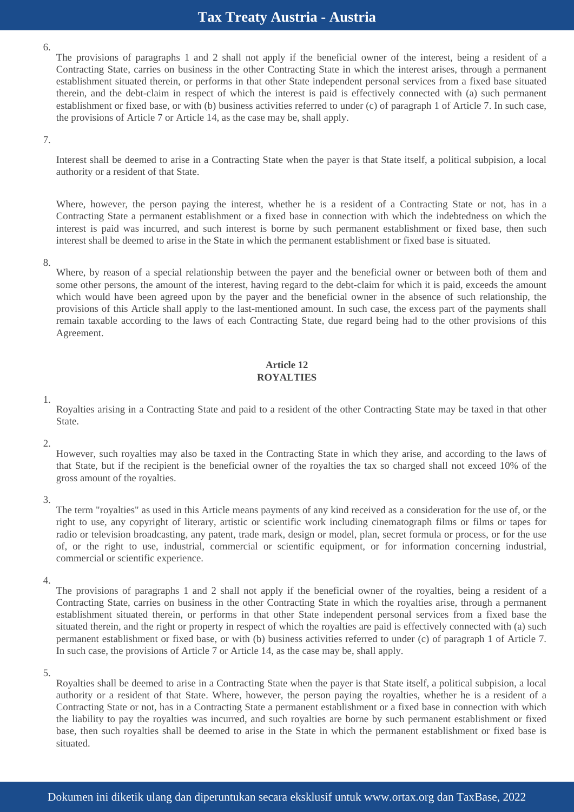6.

The provisions of paragraphs 1 and 2 shall not apply if the beneficial owner of the interest, being a resident of a Contracting State, carries on business in the other Contracting State in which the interest arises, through a permanent establishment situated therein, or performs in that other State independent personal services from a fixed base situated therein, and the debt-claim in respect of which the interest is paid is effectively connected with (a) such permanent establishment or fixed base, or with (b) business activities referred to under (c) of paragraph 1 of Article 7. In such case, the provisions of Article 7 or Article 14, as the case may be, shall apply.

7.

Interest shall be deemed to arise in a Contracting State when the payer is that State itself, a political subpision, a local authority or a resident of that State.

Where, however, the person paying the interest, whether he is a resident of a Contracting State or not, has in a Contracting State a permanent establishment or a fixed base in connection with which the indebtedness on which the interest is paid was incurred, and such interest is borne by such permanent establishment or fixed base, then such interest shall be deemed to arise in the State in which the permanent establishment or fixed base is situated.

8.

Where, by reason of a special relationship between the payer and the beneficial owner or between both of them and some other persons, the amount of the interest, having regard to the debt-claim for which it is paid, exceeds the amount which would have been agreed upon by the payer and the beneficial owner in the absence of such relationship, the provisions of this Article shall apply to the last-mentioned amount. In such case, the excess part of the payments shall remain taxable according to the laws of each Contracting State, due regard being had to the other provisions of this Agreement.

## **Article 12 ROYALTIES**

1.

Royalties arising in a Contracting State and paid to a resident of the other Contracting State may be taxed in that other State.

2.

However, such royalties may also be taxed in the Contracting State in which they arise, and according to the laws of that State, but if the recipient is the beneficial owner of the royalties the tax so charged shall not exceed 10% of the gross amount of the royalties.

3.

The term "royalties" as used in this Article means payments of any kind received as a consideration for the use of, or the right to use, any copyright of literary, artistic or scientific work including cinematograph films or films or tapes for radio or television broadcasting, any patent, trade mark, design or model, plan, secret formula or process, or for the use of, or the right to use, industrial, commercial or scientific equipment, or for information concerning industrial, commercial or scientific experience.

4.

The provisions of paragraphs 1 and 2 shall not apply if the beneficial owner of the royalties, being a resident of a Contracting State, carries on business in the other Contracting State in which the royalties arise, through a permanent establishment situated therein, or performs in that other State independent personal services from a fixed base the situated therein, and the right or property in respect of which the royalties are paid is effectively connected with (a) such permanent establishment or fixed base, or with (b) business activities referred to under (c) of paragraph 1 of Article 7. In such case, the provisions of Article 7 or Article 14, as the case may be, shall apply.

5.

Royalties shall be deemed to arise in a Contracting State when the payer is that State itself, a political subpision, a local authority or a resident of that State. Where, however, the person paying the royalties, whether he is a resident of a Contracting State or not, has in a Contracting State a permanent establishment or a fixed base in connection with which the liability to pay the royalties was incurred, and such royalties are borne by such permanent establishment or fixed base, then such royalties shall be deemed to arise in the State in which the permanent establishment or fixed base is situated.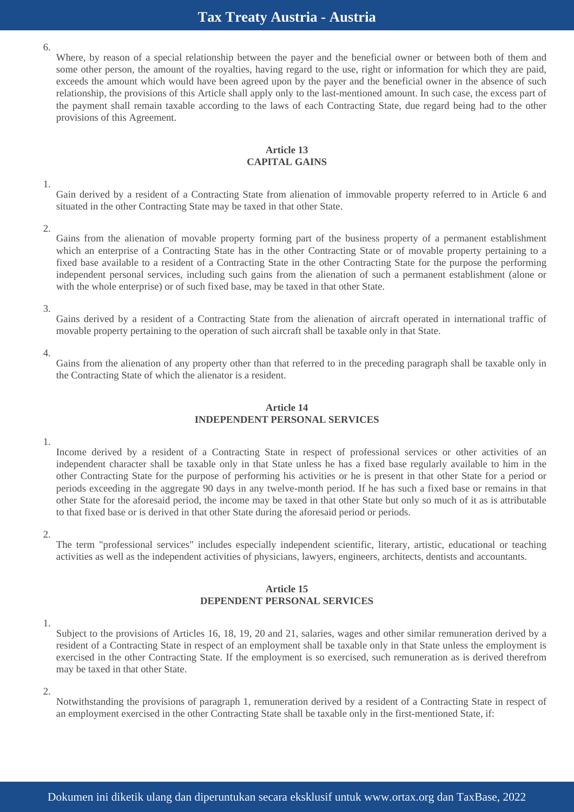6.

Where, by reason of a special relationship between the payer and the beneficial owner or between both of them and some other person, the amount of the royalties, having regard to the use, right or information for which they are paid, exceeds the amount which would have been agreed upon by the payer and the beneficial owner in the absence of such relationship, the provisions of this Article shall apply only to the last-mentioned amount. In such case, the excess part of the payment shall remain taxable according to the laws of each Contracting State, due regard being had to the other provisions of this Agreement.

## **Article 13 CAPITAL GAINS**

1.

Gain derived by a resident of a Contracting State from alienation of immovable property referred to in Article 6 and situated in the other Contracting State may be taxed in that other State.

2.

Gains from the alienation of movable property forming part of the business property of a permanent establishment which an enterprise of a Contracting State has in the other Contracting State or of movable property pertaining to a fixed base available to a resident of a Contracting State in the other Contracting State for the purpose the performing independent personal services, including such gains from the alienation of such a permanent establishment (alone or with the whole enterprise) or of such fixed base, may be taxed in that other State.

3.

Gains derived by a resident of a Contracting State from the alienation of aircraft operated in international traffic of movable property pertaining to the operation of such aircraft shall be taxable only in that State.

4.

Gains from the alienation of any property other than that referred to in the preceding paragraph shall be taxable only in the Contracting State of which the alienator is a resident.

#### **Article 14 INDEPENDENT PERSONAL SERVICES**

1.

Income derived by a resident of a Contracting State in respect of professional services or other activities of an independent character shall be taxable only in that State unless he has a fixed base regularly available to him in the other Contracting State for the purpose of performing his activities or he is present in that other State for a period or periods exceeding in the aggregate 90 days in any twelve-month period. If he has such a fixed base or remains in that other State for the aforesaid period, the income may be taxed in that other State but only so much of it as is attributable to that fixed base or is derived in that other State during the aforesaid period or periods.

2.

The term "professional services" includes especially independent scientific, literary, artistic, educational or teaching activities as well as the independent activities of physicians, lawyers, engineers, architects, dentists and accountants.

## **Article 15 DEPENDENT PERSONAL SERVICES**

1.

Subject to the provisions of Articles 16, 18, 19, 20 and 21, salaries, wages and other similar remuneration derived by a resident of a Contracting State in respect of an employment shall be taxable only in that State unless the employment is exercised in the other Contracting State. If the employment is so exercised, such remuneration as is derived therefrom may be taxed in that other State.

2.

Notwithstanding the provisions of paragraph 1, remuneration derived by a resident of a Contracting State in respect of an employment exercised in the other Contracting State shall be taxable only in the first-mentioned State, if: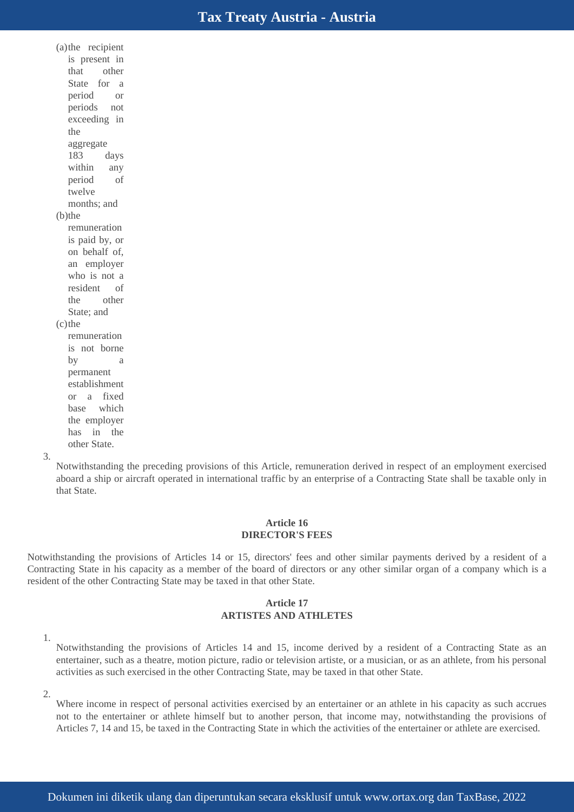(a)the recipient is present in that other State for a period or periods not exceeding in the aggregate 183 days within any period of twelve months; and (b)the remuneration is paid by, or on behalf of, an employer who is not a resident of the other State; and (c)the remuneration is not borne by a permanent establishment or a fixed base which the employer has in the other State.

3.

Notwithstanding the preceding provisions of this Article, remuneration derived in respect of an employment exercised aboard a ship or aircraft operated in international traffic by an enterprise of a Contracting State shall be taxable only in that State.

#### **Article 16 DIRECTOR'S FEES**

Notwithstanding the provisions of Articles 14 or 15, directors' fees and other similar payments derived by a resident of a Contracting State in his capacity as a member of the board of directors or any other similar organ of a company which is a resident of the other Contracting State may be taxed in that other State.

### **Article 17 ARTISTES AND ATHLETES**

1.

Notwithstanding the provisions of Articles 14 and 15, income derived by a resident of a Contracting State as an entertainer, such as a theatre, motion picture, radio or television artiste, or a musician, or as an athlete, from his personal activities as such exercised in the other Contracting State, may be taxed in that other State.

2.

Where income in respect of personal activities exercised by an entertainer or an athlete in his capacity as such accrues not to the entertainer or athlete himself but to another person, that income may, notwithstanding the provisions of Articles 7, 14 and 15, be taxed in the Contracting State in which the activities of the entertainer or athlete are exercised.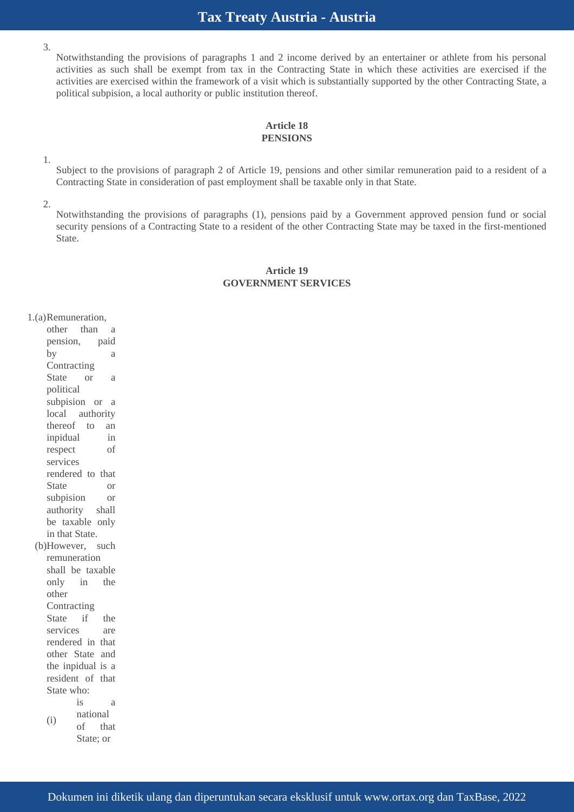Notwithstanding the provisions of paragraphs 1 and 2 income derived by an entertainer or athlete from his personal activities as such shall be exempt from tax in the Contracting State in which these activities are exercised if the activities are exercised within the framework of a visit which is substantially supported by the other Contracting State, a political subpision, a local authority or public institution thereof.

#### **Article 18 PENSIONS**

Subject to the provisions of paragraph 2 of Article 19, pensions and other similar remuneration paid to a resident of a Contracting State in consideration of past employment shall be taxable only in that State.

2.

1.

3.

Notwithstanding the provisions of paragraphs (1), pensions paid by a Government approved pension fund or social security pensions of a Contracting State to a resident of the other Contracting State may be taxed in the first-mentioned State.

#### **Article 19 GOVERNMENT SERVICES**

1.(a)Remuneration,

other than a pension, paid by a Contracting State or a political subpision or a local authority thereof to an inpidual in respect of services rendered to that State or subpision or authority shall be taxable only in that State. (b)However, such remuneration shall be taxable only in the other Contracting State if the services are rendered in that other State and the inpidual is a resident of that State who: (i) is a national of that State; or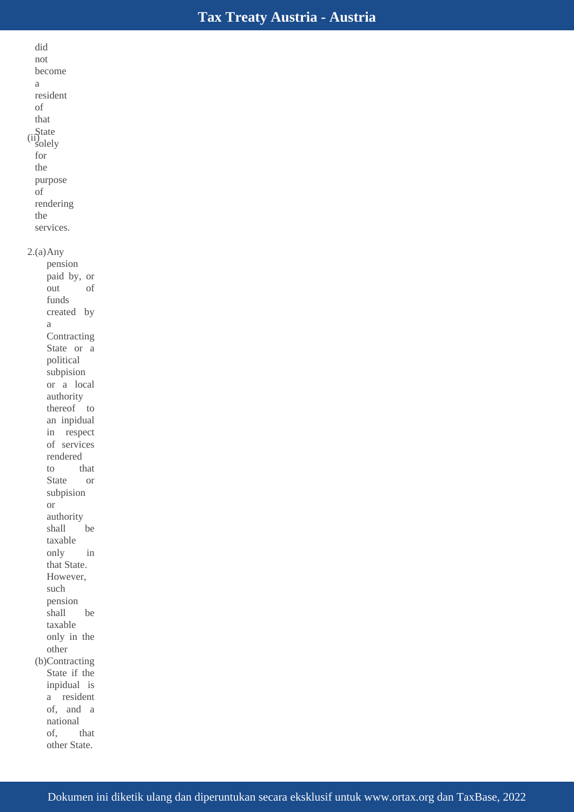$\lim_{n \to \infty}$ did not become a resident of that solely for the purpose of rendering the services.  $2(a)$ Any pension paid by, or out of funds created by a Contracting State or a political subpision or a local authority thereof to an inpidual in respect of services rendered to that State or subpision or authority shall be taxable only in that State. (b) Contracting However, such pension shall be taxable only in the other State if the inpidual is a resident of, and a national of, that other State.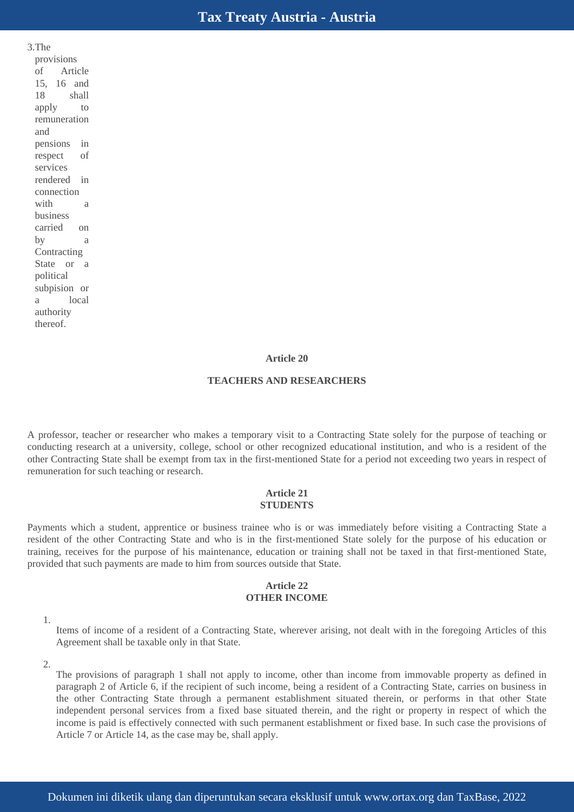3.The provisions of Article 15, 16 and 18 shall apply to remuneration and pensions in respect of services rendered in connection with a business carried on by a **Contracting** State or a political subpision or a local authority thereof.

#### **Article 20**

#### **TEACHERS AND RESEARCHERS**

A professor, teacher or researcher who makes a temporary visit to a Contracting State solely for the purpose of teaching or conducting research at a university, college, school or other recognized educational institution, and who is a resident of the other Contracting State shall be exempt from tax in the first-mentioned State for a period not exceeding two years in respect of remuneration for such teaching or research.

#### **Article 21 STUDENTS**

Payments which a student, apprentice or business trainee who is or was immediately before visiting a Contracting State a resident of the other Contracting State and who is in the first-mentioned State solely for the purpose of his education or training, receives for the purpose of his maintenance, education or training shall not be taxed in that first-mentioned State, provided that such payments are made to him from sources outside that State.

#### **Article 22 OTHER INCOME**

1.

Items of income of a resident of a Contracting State, wherever arising, not dealt with in the foregoing Articles of this Agreement shall be taxable only in that State.

2.

The provisions of paragraph 1 shall not apply to income, other than income from immovable property as defined in paragraph 2 of Article 6, if the recipient of such income, being a resident of a Contracting State, carries on business in the other Contracting State through a permanent establishment situated therein, or performs in that other State independent personal services from a fixed base situated therein, and the right or property in respect of which the income is paid is effectively connected with such permanent establishment or fixed base. In such case the provisions of Article 7 or Article 14, as the case may be, shall apply.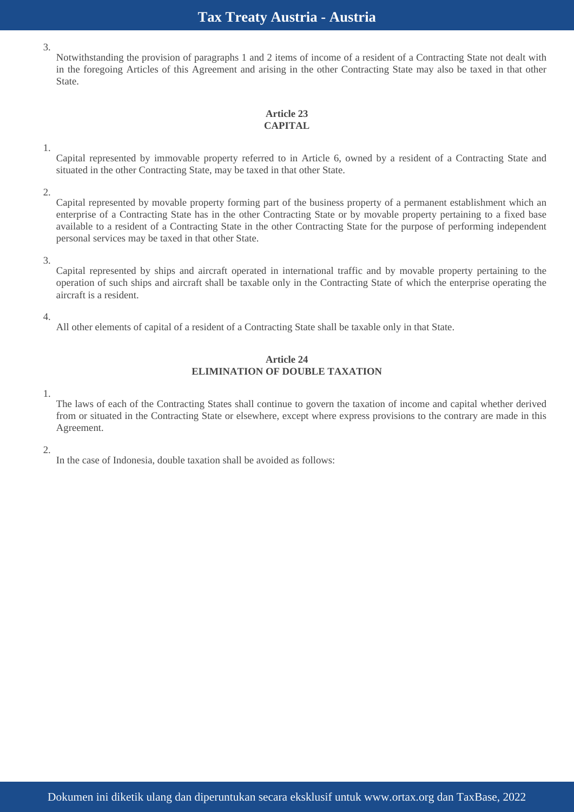Notwithstanding the provision of paragraphs 1 and 2 items of income of a resident of a Contracting State not dealt with in the foregoing Articles of this Agreement and arising in the other Contracting State may also be taxed in that other State.

## **Article 23 CAPITAL**

1.

3.

Capital represented by immovable property referred to in Article 6, owned by a resident of a Contracting State and situated in the other Contracting State, may be taxed in that other State.

2.

Capital represented by movable property forming part of the business property of a permanent establishment which an enterprise of a Contracting State has in the other Contracting State or by movable property pertaining to a fixed base available to a resident of a Contracting State in the other Contracting State for the purpose of performing independent personal services may be taxed in that other State.

3.

Capital represented by ships and aircraft operated in international traffic and by movable property pertaining to the operation of such ships and aircraft shall be taxable only in the Contracting State of which the enterprise operating the aircraft is a resident.

4.

All other elements of capital of a resident of a Contracting State shall be taxable only in that State.

### **Article 24 ELIMINATION OF DOUBLE TAXATION**

1.

The laws of each of the Contracting States shall continue to govern the taxation of income and capital whether derived from or situated in the Contracting State or elsewhere, except where express provisions to the contrary are made in this Agreement.

2.

In the case of Indonesia, double taxation shall be avoided as follows: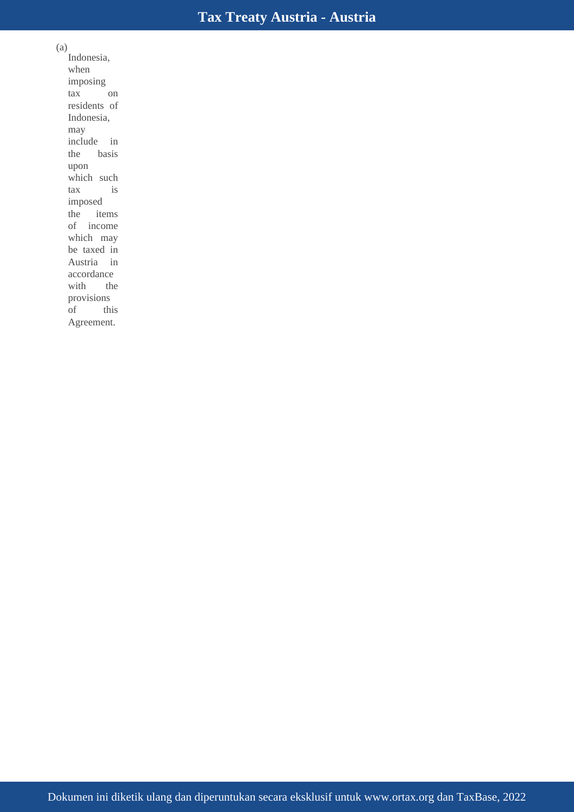(a) Indonesia, when imposing tax on residents of Indonesia, may include in the basis upon which such tax is imposed the items of income which may be taxed in Austria in accordance with the provisions of this Agreement.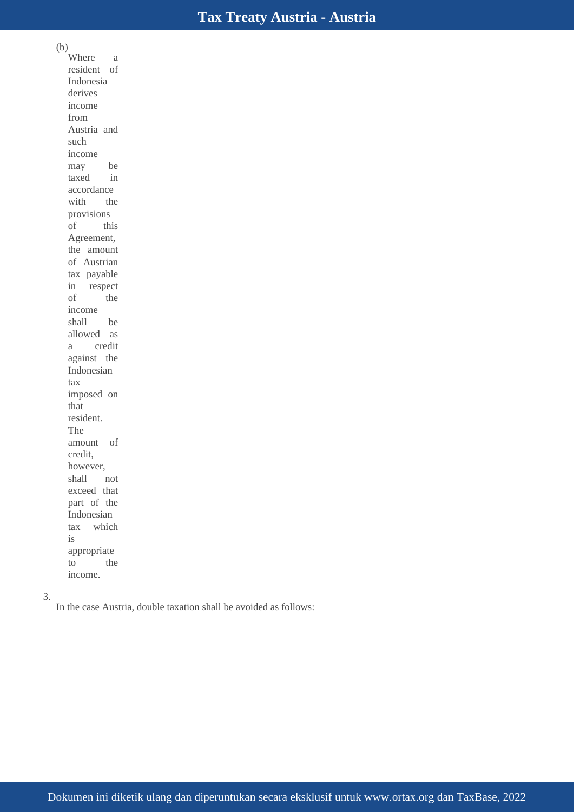(b) Where a resident of Indonesia derives income from Austria and such income may be taxed in accordance with the provisions of this Agreement, the amount of Austrian tax payable in respect of the income shall be allowed as a credit against the Indonesian tax imposed on that resident. The amount of credit, however, shall not exceed that part of the Indonesian tax which is appropriate to the income.

3.

In the case Austria, double taxation shall be avoided as follows: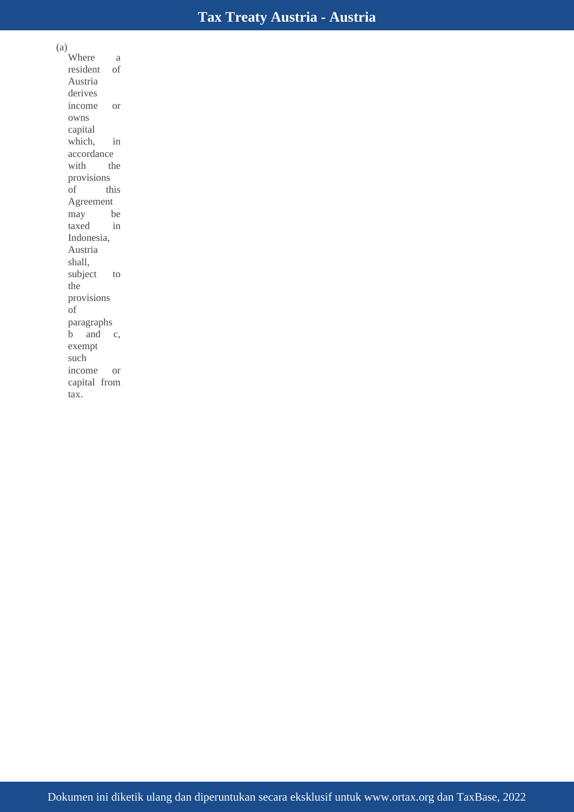(a) Where a resident of Austria derives income or owns capital which, in accordance with the provisions of this Agreement may be taxed in Indonesia, Austria shall, subject to the provisions of paragraphs b and c, exempt such income or capital from tax.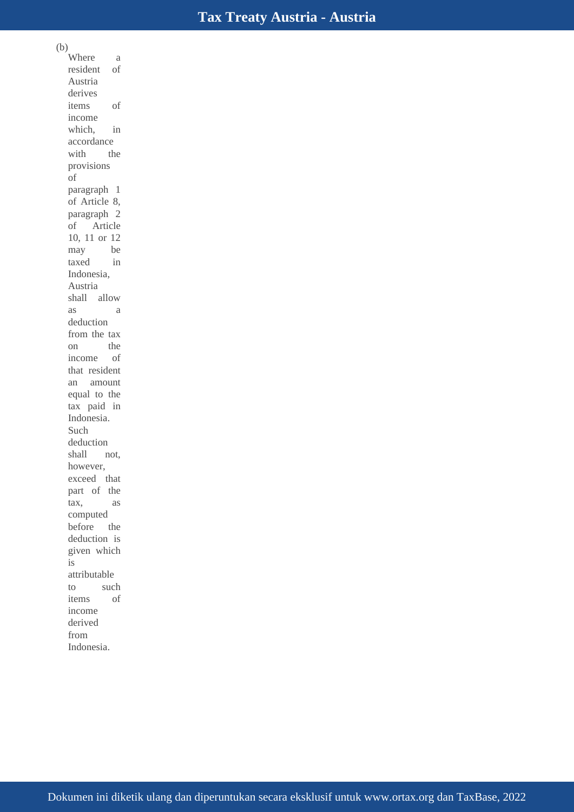(b) Where a resident of Austria derives items of income which, in accordance with the provisions of paragraph 1 of Article 8, paragraph 2 of Article 10, 11 or 12 may be taxed in Indonesia, Austria shall allow as a deduction from the tax on the income of that resident an amount equal to the tax paid in Indonesia. Such deduction shall not, however, exceed that part of the tax, as computed before the deduction is given which is attributable to such items of income derived from Indonesia.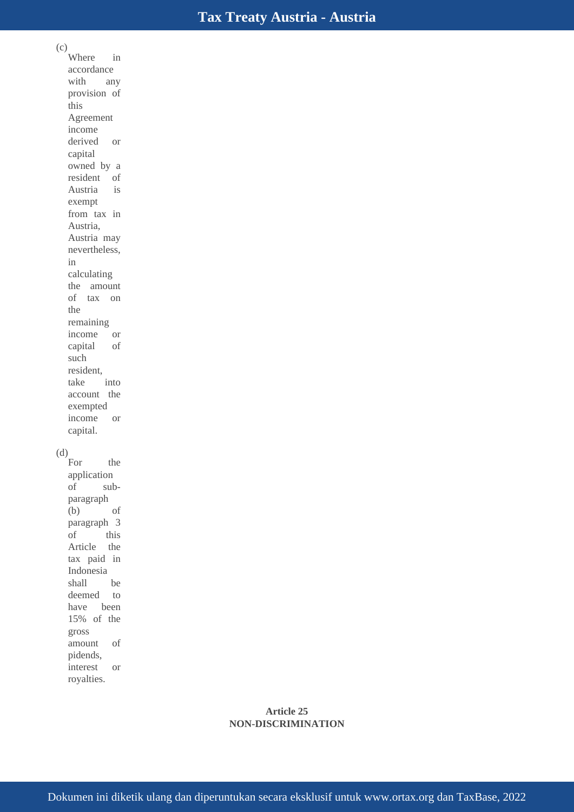Where in accordance with any provision of this Agreement income derived or capital owned by a resident of Austria is exempt from tax in Austria, Austria may nevertheless, in calculating the amount of tax on the remaining income or capital of such resident, take into account the exempted income or capital. (d) For the application

(c)

of subparagraph (b) of paragraph 3 of this Article the tax paid in Indonesia shall be deemed to have been 15% of the gross amount of pidends, interest or royalties.

### **Article 25 NON-DISCRIMINATION**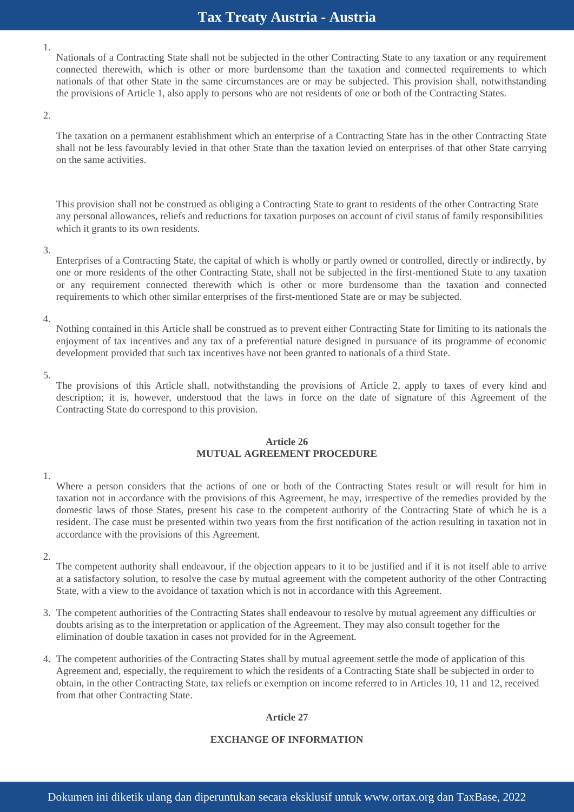Nationals of a Contracting State shall not be subjected in the other Contracting State to any taxation or any requirement connected therewith, which is other or more burdensome than the taxation and connected requirements to which nationals of that other State in the same circumstances are or may be subjected. This provision shall, notwithstanding the provisions of Article 1, also apply to persons who are not residents of one or both of the Contracting States.

2.

1.

The taxation on a permanent establishment which an enterprise of a Contracting State has in the other Contracting State shall not be less favourably levied in that other State than the taxation levied on enterprises of that other State carrying on the same activities.

This provision shall not be construed as obliging a Contracting State to grant to residents of the other Contracting State any personal allowances, reliefs and reductions for taxation purposes on account of civil status of family responsibilities which it grants to its own residents.

3.

Enterprises of a Contracting State, the capital of which is wholly or partly owned or controlled, directly or indirectly, by one or more residents of the other Contracting State, shall not be subjected in the first-mentioned State to any taxation or any requirement connected therewith which is other or more burdensome than the taxation and connected requirements to which other similar enterprises of the first-mentioned State are or may be subjected.

#### 4.

Nothing contained in this Article shall be construed as to prevent either Contracting State for limiting to its nationals the enjoyment of tax incentives and any tax of a preferential nature designed in pursuance of its programme of economic development provided that such tax incentives have not been granted to nationals of a third State.

5.

The provisions of this Article shall, notwithstanding the provisions of Article 2, apply to taxes of every kind and description; it is, however, understood that the laws in force on the date of signature of this Agreement of the Contracting State do correspond to this provision.

#### **Article 26 MUTUAL AGREEMENT PROCEDURE**

1.

Where a person considers that the actions of one or both of the Contracting States result or will result for him in taxation not in accordance with the provisions of this Agreement, he may, irrespective of the remedies provided by the domestic laws of those States, present his case to the competent authority of the Contracting State of which he is a resident. The case must be presented within two years from the first notification of the action resulting in taxation not in accordance with the provisions of this Agreement.

2.

The competent authority shall endeavour, if the objection appears to it to be justified and if it is not itself able to arrive at a satisfactory solution, to resolve the case by mutual agreement with the competent authority of the other Contracting State, with a view to the avoidance of taxation which is not in accordance with this Agreement.

- 3. The competent authorities of the Contracting States shall endeavour to resolve by mutual agreement any difficulties or doubts arising as to the interpretation or application of the Agreement. They may also consult together for the elimination of double taxation in cases not provided for in the Agreement.
- 4. The competent authorities of the Contracting States shall by mutual agreement settle the mode of application of this Agreement and, especially, the requirement to which the residents of a Contracting State shall be subjected in order to obtain, in the other Contracting State, tax reliefs or exemption on income referred to in Articles 10, 11 and 12, received from that other Contracting State.

#### **Article 27**

#### **EXCHANGE OF INFORMATION**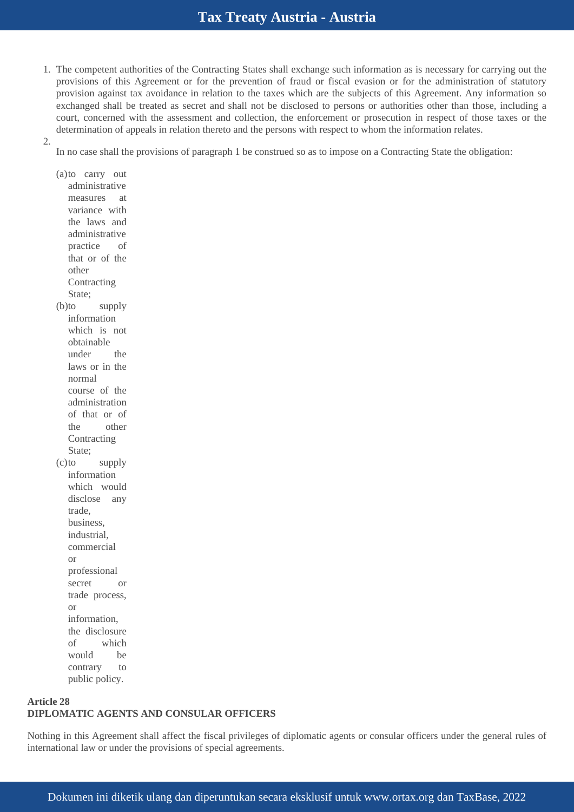- 1. The competent authorities of the Contracting States shall exchange such information as is necessary for carrying out the provisions of this Agreement or for the prevention of fraud or fiscal evasion or for the administration of statutory provision against tax avoidance in relation to the taxes which are the subjects of this Agreement. Any information so exchanged shall be treated as secret and shall not be disclosed to persons or authorities other than those, including a court, concerned with the assessment and collection, the enforcement or prosecution in respect of those taxes or the determination of appeals in relation thereto and the persons with respect to whom the information relates.
- 2.

In no case shall the provisions of paragraph 1 be construed so as to impose on a Contracting State the obligation:

(a)to carry out administrative measures at variance with the laws and administrative practice of that or of the other Contracting State; (b)to supply information which is not obtainable under the laws or in the normal course of the administration of that or of the other Contracting State; (c)to supply information which would disclose any trade, business, industrial, commercial or professional secret or trade process, or information, the disclosure of which would be contrary to public policy.

#### **Article 28 DIPLOMATIC AGENTS AND CONSULAR OFFICERS**

Nothing in this Agreement shall affect the fiscal privileges of diplomatic agents or consular officers under the general rules of international law or under the provisions of special agreements.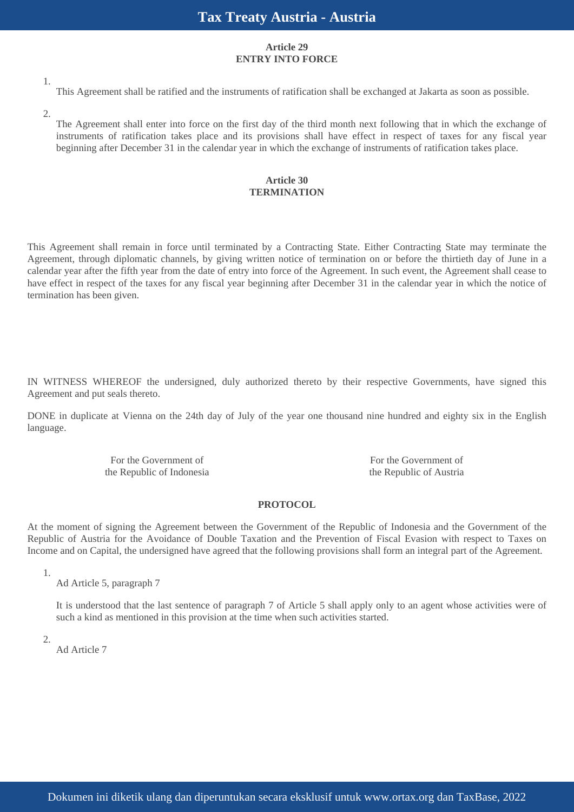### **Article 29 ENTRY INTO FORCE**

1.

This Agreement shall be ratified and the instruments of ratification shall be exchanged at Jakarta as soon as possible.

2.

The Agreement shall enter into force on the first day of the third month next following that in which the exchange of instruments of ratification takes place and its provisions shall have effect in respect of taxes for any fiscal year beginning after December 31 in the calendar year in which the exchange of instruments of ratification takes place.

### **Article 30 TERMINATION**

This Agreement shall remain in force until terminated by a Contracting State. Either Contracting State may terminate the Agreement, through diplomatic channels, by giving written notice of termination on or before the thirtieth day of June in a calendar year after the fifth year from the date of entry into force of the Agreement. In such event, the Agreement shall cease to have effect in respect of the taxes for any fiscal year beginning after December 31 in the calendar year in which the notice of termination has been given.

IN WITNESS WHEREOF the undersigned, duly authorized thereto by their respective Governments, have signed this Agreement and put seals thereto.

DONE in duplicate at Vienna on the 24th day of July of the year one thousand nine hundred and eighty six in the English language.

> For the Government of the Republic of Indonesia

For the Government of the Republic of Austria

#### **PROTOCOL**

At the moment of signing the Agreement between the Government of the Republic of Indonesia and the Government of the Republic of Austria for the Avoidance of Double Taxation and the Prevention of Fiscal Evasion with respect to Taxes on Income and on Capital, the undersigned have agreed that the following provisions shall form an integral part of the Agreement.

1.

Ad Article 5, paragraph 7

It is understood that the last sentence of paragraph 7 of Article 5 shall apply only to an agent whose activities were of such a kind as mentioned in this provision at the time when such activities started.

2.

Ad Article 7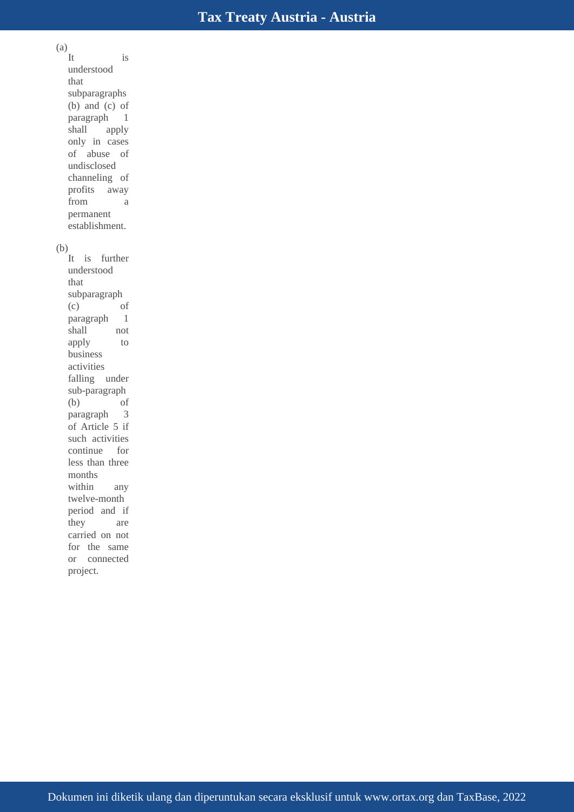(a) It is understood that subparagraphs (b) and (c) of paragraph 1 shall apply only in cases of abuse of undisclosed channeling of profits away from a permanent establishment. (b) It is further understood that subparagraph (c) of paragraph 1 shall not apply to business activities falling under sub-paragraph (b) of paragraph 3 of Article 5 if such activities continue for less than three months within any twelve-month period and if they are carried on not for the same or connected project.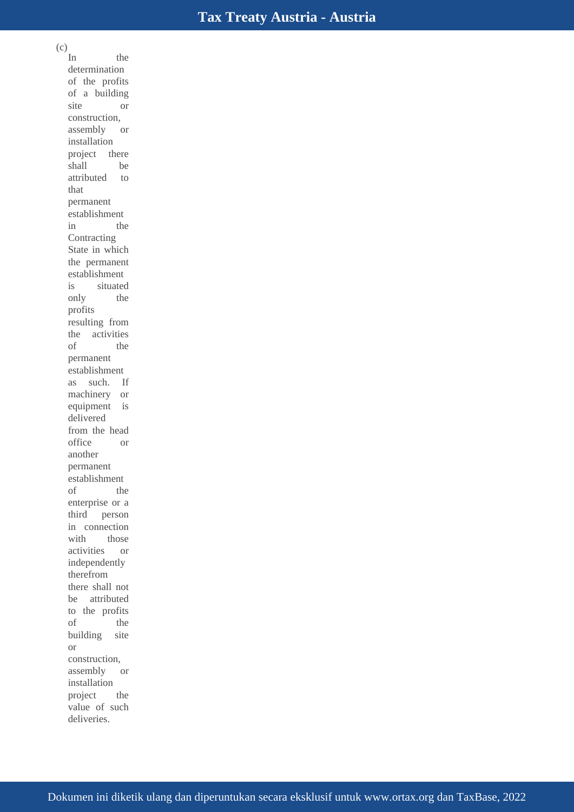$\frac{c}{\ln}$ the determination of the profits of a building site or construction, assembly or installation project there shall be attributed to that permanent establishment in the Contracting State in which the permanent establishment is situated only the profits resulting from the activities of the permanent establishment as such. If machinery or equipment is delivered from the head office or another permanent establishment of the enterprise or a third person in connection with those activities or independently therefrom there shall not be attributed to the profits of the building site or construction, assembly or installation project the value of such deliveries.